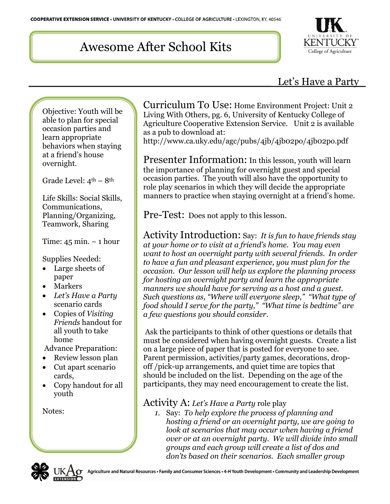# Awesome After School Kits



## Let's Have a Party

Objective: Youth will be able to plan for special occasion parties and learn appropriate behaviors when staying at a friend's house overnight.

Grade Level:  $4^{\text{th}} - 8^{\text{th}}$ 

Life Skills: Social Skills, Communications, Planning/Organizing, Teamwork, Sharing

Time:  $45$  min.  $-1$  hour

Supplies Needed:

- Large sheets of paper
- Markers
- *Let's Have a Party* scenario cards
- Copies of *Visiting Friends* handout for all youth to take home

Advance Preparation:

- Review lesson plan
- Cut apart scenario cards,
- Copy handout for all youth

Notes:

Curriculum To Use: Home Environment Project: Unit 2 Living With Others, pg. 6, University of Kentucky College of Agriculture Cooperative Extension Service. Unit 2 is available as a pub to download at:

http://www.ca.uky.edu/agc/pubs/4jb/4jb02po/4jb02po.pdf

Presenter Information: In this lesson, youth will learn the importance of planning for overnight guest and special occasion parties. The youth will also have the opportunity to role play scenarios in which they will decide the appropriate manners to practice when staying overnight at a friend's home.

Pre-Test: Does not apply to this lesson.

Activity Introduction: Say: *It is fun to have friends stay at your home or to visit at a friend's home. You may even want to host an overnight party with several friends. In order to have a fun and pleasant experience, you must plan for the occasion. Our lesson will help us explore the planning process for hosting an overnight party and learn the appropriate manners we should have for serving as a host and a guest. Such questions as, "Where will everyone sleep," "What type of food should I serve for the party," "What time is bedtime" are a few questions you should consider*.

Ask the participants to think of other questions or details that must be considered when having overnight guests. Create a list on a large piece of paper that is posted for everyone to see. Parent permission, activities/party games, decorations, dropoff /pick-up arrangements, and quiet time are topics that should be included on the list. Depending on the age of the participants, they may need encouragement to create the list.

### Activity A: *Let's Have a Party* role play

*1.* Say: *To help explore the process of planning and hosting a friend or an overnight party, we are going to look at scenarios that may occur when having a friend over or at an overnight party. We will divide into small groups and each group will create a list of dos and don'ts based on their scenarios. Each smaller group* 

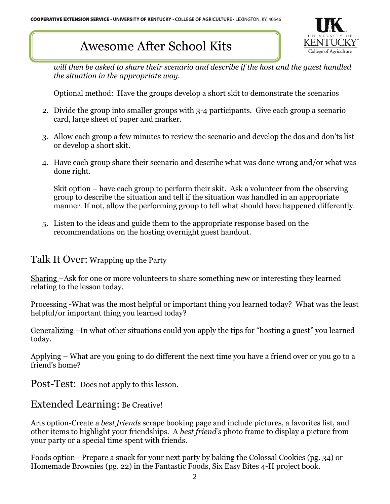## Awesome After School Kits



*will then be asked to share their scenario and describe if the host and the guest handled the situation in the appropriate way.*

Optional method: Have the groups develop a short skit to demonstrate the scenarios

- 2. Divide the group into smaller groups with 3-4 participants. Give each group a scenario card, large sheet of paper and marker.
- 3. Allow each group a few minutes to review the scenario and develop the dos and don'ts list or develop a short skit.
- 4. Have each group share their scenario and describe what was done wrong and/or what was done right.

Skit option – have each group to perform their skit. Ask a volunteer from the observing group to describe the situation and tell if the situation was handled in an appropriate manner. If not, allow the performing group to tell what should have happened differently.

5. Listen to the ideas and guide them to the appropriate response based on the recommendations on the hosting overnight guest handout.

### Talk It Over: Wrapping up the Party

Sharing –Ask for one or more volunteers to share something new or interesting they learned relating to the lesson today.

Processing -What was the most helpful or important thing you learned today? What was the least helpful/or important thing you learned today?

Generalizing –In what other situations could you apply the tips for "hosting a guest" you learned today.

Applying – What are you going to do different the next time you have a friend over or you go to a friend's home?

Post-Test: Does not apply to this lesson*.*

### Extended Learning: Be Creative!

Arts option-Create a *best friends* scrape booking page and include pictures, a favorites list, and other items to highlight your friendships. A *best friend's* photo frame to display a picture from your party or a special time spent with friends.

Foods option– Prepare a snack for your next party by baking the Colossal Cookies (pg. 34) or Homemade Brownies (pg. 22) in the Fantastic Foods, Six Easy Bites 4-H project book.